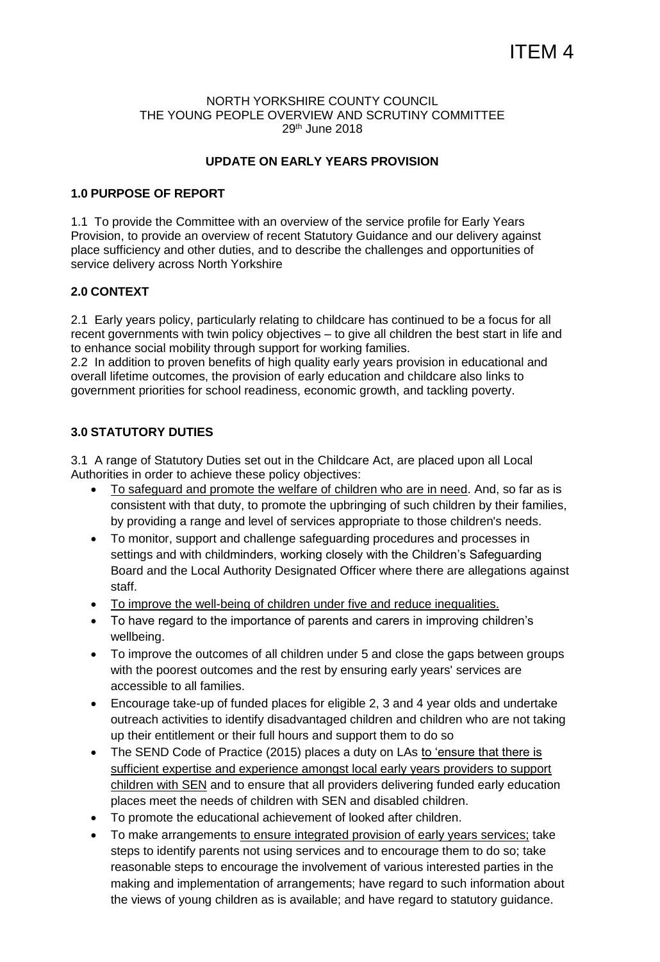#### NORTH YORKSHIRE COUNTY COUNCIL THE YOUNG PEOPLE OVERVIEW AND SCRUTINY COMMITTEE 29th June 2018

### **UPDATE ON EARLY YEARS PROVISION**

#### **1.0 PURPOSE OF REPORT**

1.1 To provide the Committee with an overview of the service profile for Early Years Provision, to provide an overview of recent Statutory Guidance and our delivery against place sufficiency and other duties, and to describe the challenges and opportunities of service delivery across North Yorkshire

### **2.0 CONTEXT**

2.1 Early years policy, particularly relating to childcare has continued to be a focus for all recent governments with twin policy objectives – to give all children the best start in life and to enhance social mobility through support for working families.

2.2 In addition to proven benefits of high quality early years provision in educational and overall lifetime outcomes, the provision of early education and childcare also links to government priorities for school readiness, economic growth, and tackling poverty.

### **3.0 STATUTORY DUTIES**

3.1 A range of Statutory Duties set out in the Childcare Act, are placed upon all Local Authorities in order to achieve these policy objectives:

- To safeguard and promote the welfare of children who are in need. And, so far as is consistent with that duty, to promote the upbringing of such children by their families, by providing a range and level of services appropriate to those children's needs.
- To monitor, support and challenge safeguarding procedures and processes in settings and with childminders, working closely with the Children's Safeguarding Board and the Local Authority Designated Officer where there are allegations against staff.
- To improve the well-being of children under five and reduce inequalities.
- To have regard to the importance of parents and carers in improving children's wellbeing.
- To improve the outcomes of all children under 5 and close the gaps between groups with the poorest outcomes and the rest by ensuring early years' services are accessible to all families.
- Encourage take-up of funded places for eligible 2, 3 and 4 year olds and undertake outreach activities to identify disadvantaged children and children who are not taking up their entitlement or their full hours and support them to do so
- The SEND Code of Practice (2015) places a duty on LAs to 'ensure that there is sufficient expertise and experience amongst local early years providers to support children with SEN and to ensure that all providers delivering funded early education places meet the needs of children with SEN and disabled children.
- To promote the educational achievement of looked after children.
- To make arrangements to ensure integrated provision of early years services; take steps to identify parents not using services and to encourage them to do so; take reasonable steps to encourage the involvement of various interested parties in the making and implementation of arrangements; have regard to such information about the views of young children as is available; and have regard to statutory guidance.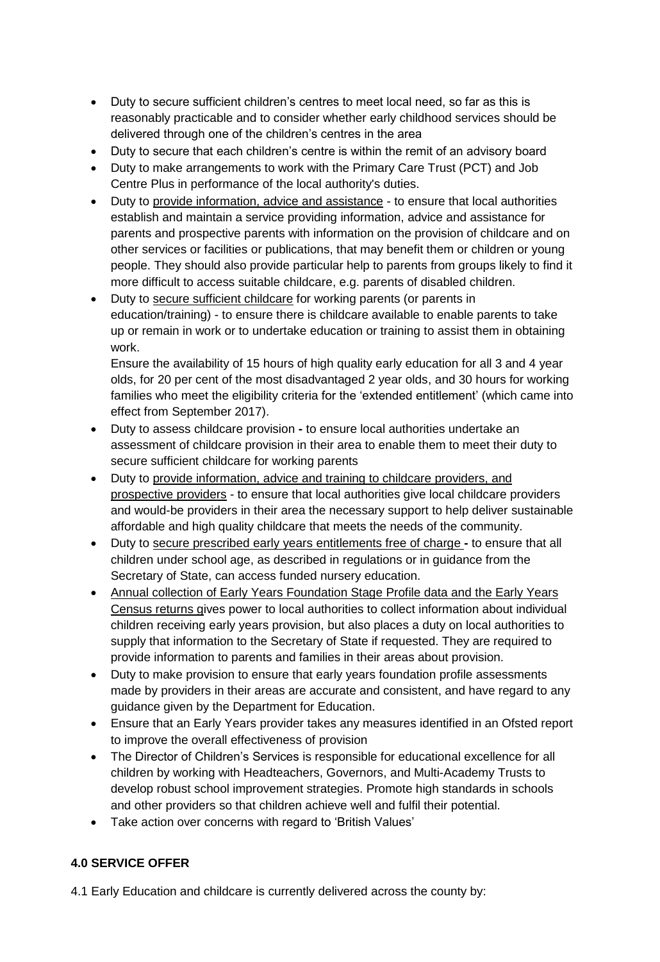- Duty to secure sufficient children's centres to meet local need, so far as this is reasonably practicable and to consider whether early childhood services should be delivered through one of the children's centres in the area
- Duty to secure that each children's centre is within the remit of an advisory board
- Duty to make arrangements to work with the Primary Care Trust (PCT) and Job Centre Plus in performance of the local authority's duties.
- Duty to provide information, advice and assistance to ensure that local authorities establish and maintain a service providing information, advice and assistance for parents and prospective parents with information on the provision of childcare and on other services or facilities or publications, that may benefit them or children or young people. They should also provide particular help to parents from groups likely to find it more difficult to access suitable childcare, e.g. parents of disabled children.
- Duty to secure sufficient childcare for working parents (or parents in education/training) - to ensure there is childcare available to enable parents to take up or remain in work or to undertake education or training to assist them in obtaining work.

Ensure the availability of 15 hours of high quality early education for all 3 and 4 year olds, for 20 per cent of the most disadvantaged 2 year olds, and 30 hours for working families who meet the eligibility criteria for the 'extended entitlement' (which came into effect from September 2017).

- Duty to assess childcare provision **-** to ensure local authorities undertake an assessment of childcare provision in their area to enable them to meet their duty to secure sufficient childcare for working parents
- Duty to provide information, advice and training to childcare providers, and prospective providers - to ensure that local authorities give local childcare providers and would-be providers in their area the necessary support to help deliver sustainable affordable and high quality childcare that meets the needs of the community.
- Duty to secure prescribed early years entitlements free of charge **-** to ensure that all children under school age, as described in regulations or in guidance from the Secretary of State, can access funded nursery education.
- Annual collection of Early Years Foundation Stage Profile data and the Early Years Census returns gives power to local authorities to collect information about individual children receiving early years provision, but also places a duty on local authorities to supply that information to the Secretary of State if requested. They are required to provide information to parents and families in their areas about provision.
- Duty to make provision to ensure that early years foundation profile assessments made by providers in their areas are accurate and consistent, and have regard to any guidance given by the Department for Education.
- Ensure that an Early Years provider takes any measures identified in an Ofsted report to improve the overall effectiveness of provision
- The Director of Children's Services is responsible for educational excellence for all children by working with Headteachers, Governors, and Multi-Academy Trusts to develop robust school improvement strategies. Promote high standards in schools and other providers so that children achieve well and fulfil their potential.
- Take action over concerns with regard to 'British Values'

# **4.0 SERVICE OFFER**

4.1 Early Education and childcare is currently delivered across the county by: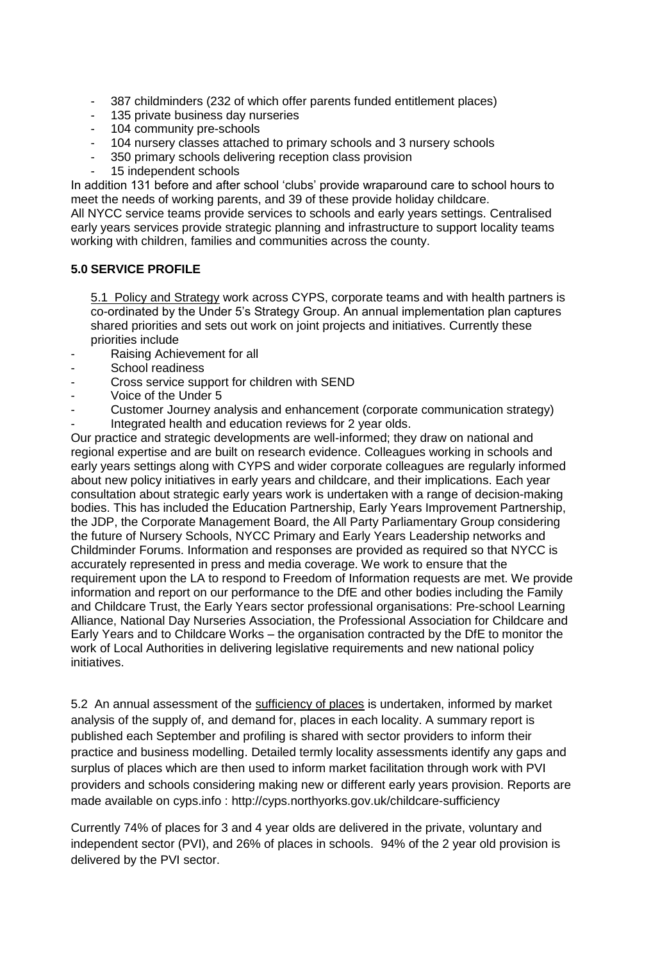- 387 childminders (232 of which offer parents funded entitlement places)
- 135 private business day nurseries
- 104 community pre-schools
- 104 nursery classes attached to primary schools and 3 nursery schools
- 350 primary schools delivering reception class provision
- 15 independent schools

In addition 131 before and after school 'clubs' provide wraparound care to school hours to meet the needs of working parents, and 39 of these provide holiday childcare.

All NYCC service teams provide services to schools and early years settings. Centralised early years services provide strategic planning and infrastructure to support locality teams working with children, families and communities across the county.

# **5.0 SERVICE PROFILE**

5.1 Policy and Strategy work across CYPS, corporate teams and with health partners is co-ordinated by the Under 5's Strategy Group. An annual implementation plan captures shared priorities and sets out work on joint projects and initiatives. Currently these priorities include

- Raising Achievement for all
- School readiness
- Cross service support for children with SEND
- Voice of the Under 5
- Customer Journey analysis and enhancement (corporate communication strategy) Integrated health and education reviews for 2 year olds.

Our practice and strategic developments are well-informed; they draw on national and regional expertise and are built on research evidence. Colleagues working in schools and early years settings along with CYPS and wider corporate colleagues are regularly informed about new policy initiatives in early years and childcare, and their implications. Each year consultation about strategic early years work is undertaken with a range of decision-making bodies. This has included the Education Partnership, Early Years Improvement Partnership, the JDP, the Corporate Management Board, the All Party Parliamentary Group considering the future of Nursery Schools, NYCC Primary and Early Years Leadership networks and Childminder Forums. Information and responses are provided as required so that NYCC is accurately represented in press and media coverage. We work to ensure that the requirement upon the LA to respond to Freedom of Information requests are met. We provide information and report on our performance to the DfE and other bodies including the Family and Childcare Trust, the Early Years sector professional organisations: Pre-school Learning Alliance, National Day Nurseries Association, the Professional Association for Childcare and Early Years and to Childcare Works – the organisation contracted by the DfE to monitor the work of Local Authorities in delivering legislative requirements and new national policy initiatives.

5.2 An annual assessment of the sufficiency of places is undertaken, informed by market analysis of the supply of, and demand for, places in each locality. A summary report is published each September and profiling is shared with sector providers to inform their practice and business modelling. Detailed termly locality assessments identify any gaps and surplus of places which are then used to inform market facilitation through work with PVI providers and schools considering making new or different early years provision. Reports are made available on cyps.info :<http://cyps.northyorks.gov.uk/childcare-sufficiency>

Currently 74% of places for 3 and 4 year olds are delivered in the private, voluntary and independent sector (PVI), and 26% of places in schools. 94% of the 2 year old provision is delivered by the PVI sector.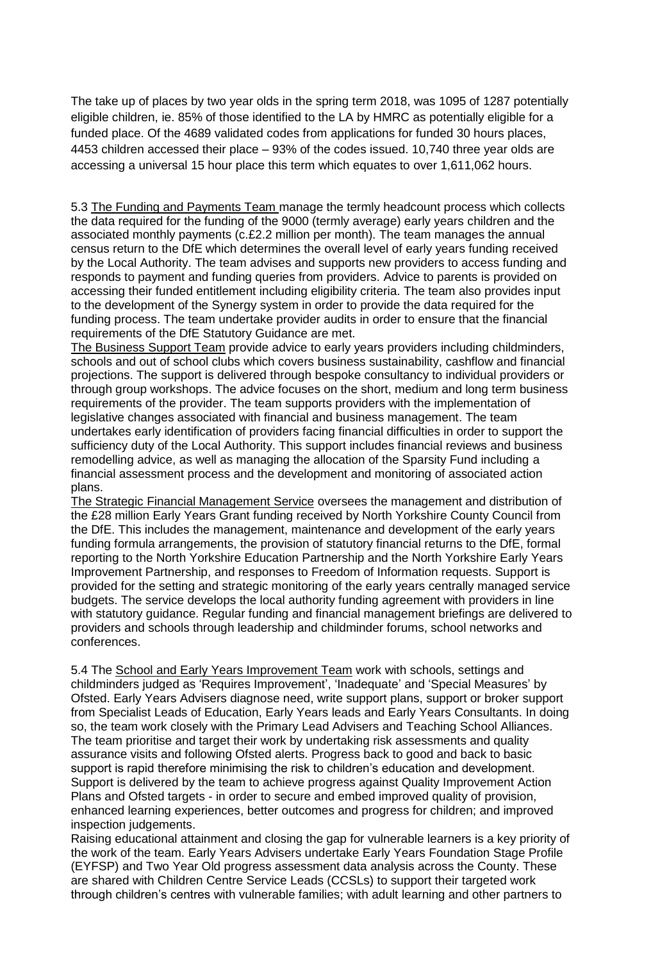The take up of places by two year olds in the spring term 2018, was 1095 of 1287 potentially eligible children, ie. 85% of those identified to the LA by HMRC as potentially eligible for a funded place. Of the 4689 validated codes from applications for funded 30 hours places, 4453 children accessed their place – 93% of the codes issued. 10,740 three year olds are accessing a universal 15 hour place this term which equates to over 1,611,062 hours.

5.3 The Funding and Payments Team manage the termly headcount process which collects the data required for the funding of the 9000 (termly average) early years children and the associated monthly payments (c.£2.2 million per month). The team manages the annual census return to the DfE which determines the overall level of early years funding received by the Local Authority. The team advises and supports new providers to access funding and responds to payment and funding queries from providers. Advice to parents is provided on accessing their funded entitlement including eligibility criteria. The team also provides input to the development of the Synergy system in order to provide the data required for the funding process. The team undertake provider audits in order to ensure that the financial requirements of the DfE Statutory Guidance are met.

The Business Support Team provide advice to early years providers including childminders, schools and out of school clubs which covers business sustainability, cashflow and financial projections. The support is delivered through bespoke consultancy to individual providers or through group workshops. The advice focuses on the short, medium and long term business requirements of the provider. The team supports providers with the implementation of legislative changes associated with financial and business management. The team undertakes early identification of providers facing financial difficulties in order to support the sufficiency duty of the Local Authority. This support includes financial reviews and business remodelling advice, as well as managing the allocation of the Sparsity Fund including a financial assessment process and the development and monitoring of associated action plans.

The Strategic Financial Management Service oversees the management and distribution of the £28 million Early Years Grant funding received by North Yorkshire County Council from the DfE. This includes the management, maintenance and development of the early years funding formula arrangements, the provision of statutory financial returns to the DfE, formal reporting to the North Yorkshire Education Partnership and the North Yorkshire Early Years Improvement Partnership, and responses to Freedom of Information requests. Support is provided for the setting and strategic monitoring of the early years centrally managed service budgets. The service develops the local authority funding agreement with providers in line with statutory guidance. Regular funding and financial management briefings are delivered to providers and schools through leadership and childminder forums, school networks and conferences.

5.4 The School and Early Years Improvement Team work with schools, settings and childminders judged as 'Requires Improvement', 'Inadequate' and 'Special Measures' by Ofsted. Early Years Advisers diagnose need, write support plans, support or broker support from Specialist Leads of Education, Early Years leads and Early Years Consultants. In doing so, the team work closely with the Primary Lead Advisers and Teaching School Alliances. The team prioritise and target their work by undertaking risk assessments and quality assurance visits and following Ofsted alerts. Progress back to good and back to basic support is rapid therefore minimising the risk to children's education and development. Support is delivered by the team to achieve progress against Quality Improvement Action Plans and Ofsted targets - in order to secure and embed improved quality of provision, enhanced learning experiences, better outcomes and progress for children; and improved inspection judgements.

Raising educational attainment and closing the gap for vulnerable learners is a key priority of the work of the team. Early Years Advisers undertake Early Years Foundation Stage Profile (EYFSP) and Two Year Old progress assessment data analysis across the County. These are shared with Children Centre Service Leads (CCSLs) to support their targeted work through children's centres with vulnerable families; with adult learning and other partners to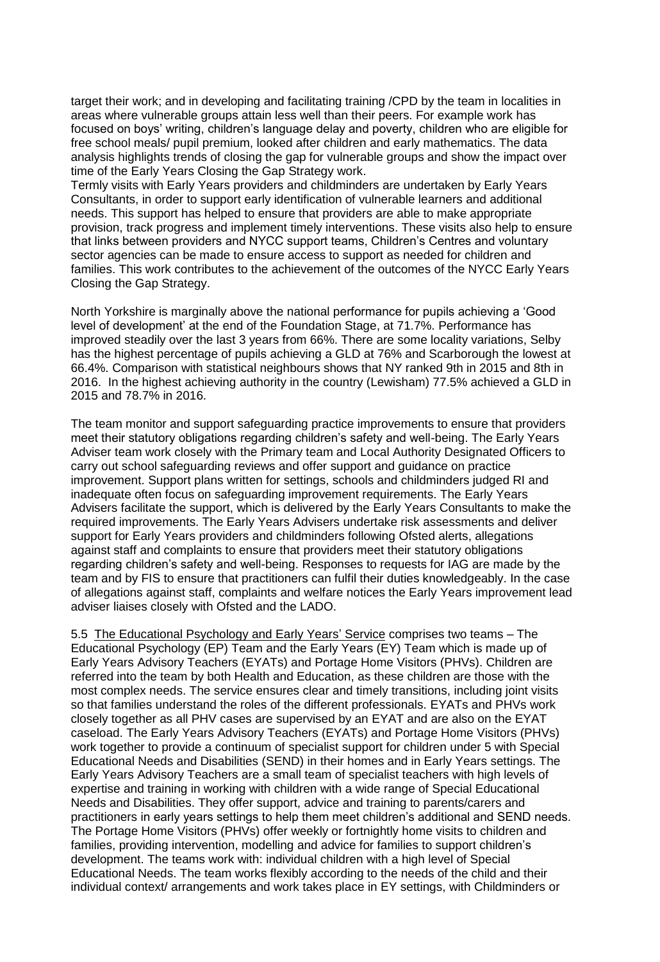target their work; and in developing and facilitating training /CPD by the team in localities in areas where vulnerable groups attain less well than their peers. For example work has focused on boys' writing, children's language delay and poverty, children who are eligible for free school meals/ pupil premium, looked after children and early mathematics. The data analysis highlights trends of closing the gap for vulnerable groups and show the impact over time of the Early Years Closing the Gap Strategy work.

Termly visits with Early Years providers and childminders are undertaken by Early Years Consultants, in order to support early identification of vulnerable learners and additional needs. This support has helped to ensure that providers are able to make appropriate provision, track progress and implement timely interventions. These visits also help to ensure that links between providers and NYCC support teams, Children's Centres and voluntary sector agencies can be made to ensure access to support as needed for children and families. This work contributes to the achievement of the outcomes of the NYCC Early Years Closing the Gap Strategy.

North Yorkshire is marginally above the national performance for pupils achieving a 'Good level of development' at the end of the Foundation Stage, at 71.7%. Performance has improved steadily over the last 3 years from 66%. There are some locality variations, Selby has the highest percentage of pupils achieving a GLD at 76% and Scarborough the lowest at 66.4%. Comparison with statistical neighbours shows that NY ranked 9th in 2015 and 8th in 2016. In the highest achieving authority in the country (Lewisham) 77.5% achieved a GLD in 2015 and 78.7% in 2016.

The team monitor and support safeguarding practice improvements to ensure that providers meet their statutory obligations regarding children's safety and well-being. The Early Years Adviser team work closely with the Primary team and Local Authority Designated Officers to carry out school safeguarding reviews and offer support and guidance on practice improvement. Support plans written for settings, schools and childminders judged RI and inadequate often focus on safeguarding improvement requirements. The Early Years Advisers facilitate the support, which is delivered by the Early Years Consultants to make the required improvements. The Early Years Advisers undertake risk assessments and deliver support for Early Years providers and childminders following Ofsted alerts, allegations against staff and complaints to ensure that providers meet their statutory obligations regarding children's safety and well-being. Responses to requests for IAG are made by the team and by FIS to ensure that practitioners can fulfil their duties knowledgeably. In the case of allegations against staff, complaints and welfare notices the Early Years improvement lead adviser liaises closely with Ofsted and the LADO.

5.5 The Educational Psychology and Early Years' Service comprises two teams – The Educational Psychology (EP) Team and the Early Years (EY) Team which is made up of Early Years Advisory Teachers (EYATs) and Portage Home Visitors (PHVs). Children are referred into the team by both Health and Education, as these children are those with the most complex needs. The service ensures clear and timely transitions, including joint visits so that families understand the roles of the different professionals. EYATs and PHVs work closely together as all PHV cases are supervised by an EYAT and are also on the EYAT caseload. The Early Years Advisory Teachers (EYATs) and Portage Home Visitors (PHVs) work together to provide a continuum of specialist support for children under 5 with Special Educational Needs and Disabilities (SEND) in their homes and in Early Years settings. The Early Years Advisory Teachers are a small team of specialist teachers with high levels of expertise and training in working with children with a wide range of Special Educational Needs and Disabilities. They offer support, advice and training to parents/carers and practitioners in early years settings to help them meet children's additional and SEND needs. The Portage Home Visitors (PHVs) offer weekly or fortnightly home visits to children and families, providing intervention, modelling and advice for families to support children's development. The teams work with: individual children with a high level of Special Educational Needs. The team works flexibly according to the needs of the child and their individual context/ arrangements and work takes place in EY settings, with Childminders or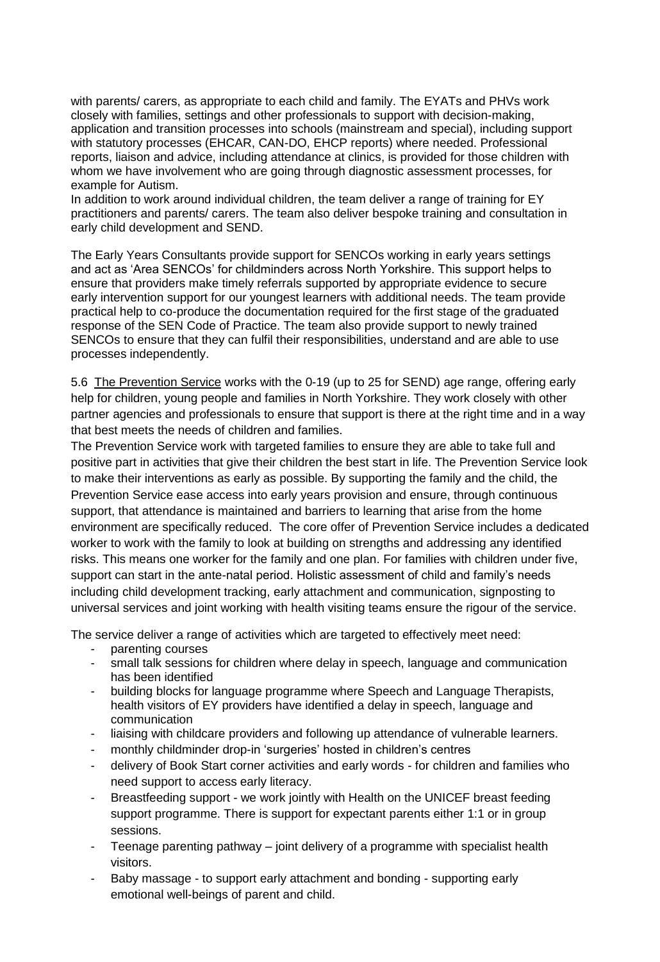with parents/ carers, as appropriate to each child and family. The EYATs and PHVs work closely with families, settings and other professionals to support with decision-making, application and transition processes into schools (mainstream and special), including support with statutory processes (EHCAR, CAN-DO, EHCP reports) where needed. Professional reports, liaison and advice, including attendance at clinics, is provided for those children with whom we have involvement who are going through diagnostic assessment processes, for example for Autism.

In addition to work around individual children, the team deliver a range of training for EY practitioners and parents/ carers. The team also deliver bespoke training and consultation in early child development and SEND.

The Early Years Consultants provide support for SENCOs working in early years settings and act as 'Area SENCOs' for childminders across North Yorkshire. This support helps to ensure that providers make timely referrals supported by appropriate evidence to secure early intervention support for our youngest learners with additional needs. The team provide practical help to co-produce the documentation required for the first stage of the graduated response of the SEN Code of Practice. The team also provide support to newly trained SENCOs to ensure that they can fulfil their responsibilities, understand and are able to use processes independently.

5.6 The Prevention Service works with the 0-19 (up to 25 for SEND) age range, offering early help for children, young people and families in North Yorkshire. They work closely with other partner agencies and professionals to ensure that support is there at the right time and in a way that best meets the needs of children and families.

The Prevention Service work with targeted families to ensure they are able to take full and positive part in activities that give their children the best start in life. The Prevention Service look to make their interventions as early as possible. By supporting the family and the child, the Prevention Service ease access into early years provision and ensure, through continuous support, that attendance is maintained and barriers to learning that arise from the home environment are specifically reduced. The core offer of Prevention Service includes a dedicated worker to work with the family to look at building on strengths and addressing any identified risks. This means one worker for the family and one plan. For families with children under five, support can start in the ante-natal period. Holistic assessment of child and family's needs including child development tracking, early attachment and communication, signposting to universal services and joint working with health visiting teams ensure the rigour of the service.

The service deliver a range of activities which are targeted to effectively meet need:

- parenting courses
- small talk sessions for children where delay in speech, language and communication has been identified
- building blocks for language programme where Speech and Language Therapists, health visitors of EY providers have identified a delay in speech, language and communication
- liaising with childcare providers and following up attendance of vulnerable learners.
- monthly childminder drop-in 'surgeries' hosted in children's centres
- delivery of Book Start corner activities and early words for children and families who need support to access early literacy.
- Breastfeeding support we work jointly with Health on the UNICEF breast feeding support programme. There is support for expectant parents either 1:1 or in group sessions.
- Teenage parenting pathway joint delivery of a programme with specialist health visitors.
- Baby massage to support early attachment and bonding supporting early emotional well-beings of parent and child.